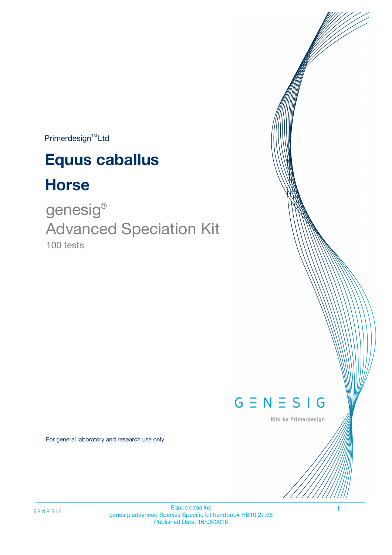$Primerdesign^{TM}$ Ltd

# **Equus caballus**

# **Horse**

100 tests genesig ® Advanced Speciation Kit



Kits by Primerdesign

For general laboratory and research use only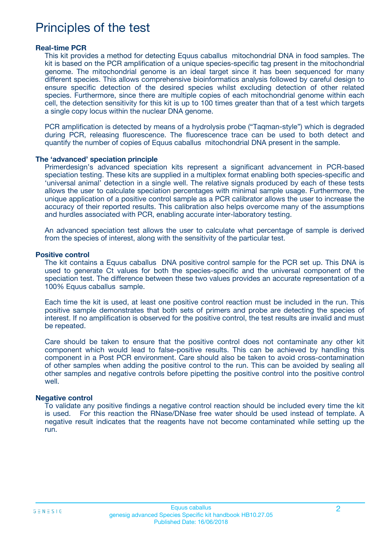## Principles of the test

#### **Real-time PCR**

This kit provides a method for detecting Equus caballus mitochondrial DNA in food samples. The kit is based on the PCR amplification of a unique species-specific tag present in the mitochondrial genome. The mitochondrial genome is an ideal target since it has been sequenced for many different species. This allows comprehensive bioinformatics analysis followed by careful design to ensure specific detection of the desired species whilst excluding detection of other related species. Furthermore, since there are multiple copies of each mitochondrial genome within each cell, the detection sensitivity for this kit is up to 100 times greater than that of a test which targets a single copy locus within the nuclear DNA genome.

PCR amplification is detected by means of a hydrolysis probe ("Taqman-style") which is degraded during PCR, releasing fluorescence. The fluorescence trace can be used to both detect and quantify the number of copies of Equus caballus mitochondrial DNA present in the sample.

#### **The 'advanced' speciation principle**

Primerdesign's advanced speciation kits represent a significant advancement in PCR-based speciation testing. These kits are supplied in a multiplex format enabling both species-specific and 'universal animal' detection in a single well. The relative signals produced by each of these tests allows the user to calculate speciation percentages with minimal sample usage. Furthermore, the unique application of a positive control sample as a PCR calibrator allows the user to increase the accuracy of their reported results. This calibration also helps overcome many of the assumptions and hurdles associated with PCR, enabling accurate inter-laboratory testing.

An advanced speciation test allows the user to calculate what percentage of sample is derived from the species of interest, along with the sensitivity of the particular test.

#### **Positive control**

The kit contains a Equus caballus DNA positive control sample for the PCR set up. This DNA is used to generate Ct values for both the species-specific and the universal component of the speciation test. The difference between these two values provides an accurate representation of a 100% Equus caballus sample.

Each time the kit is used, at least one positive control reaction must be included in the run. This positive sample demonstrates that both sets of primers and probe are detecting the species of interest. If no amplification is observed for the positive control, the test results are invalid and must be repeated.

Care should be taken to ensure that the positive control does not contaminate any other kit component which would lead to false-positive results. This can be achieved by handling this component in a Post PCR environment. Care should also be taken to avoid cross-contamination of other samples when adding the positive control to the run. This can be avoided by sealing all other samples and negative controls before pipetting the positive control into the positive control well.

#### **Negative control**

To validate any positive findings a negative control reaction should be included every time the kit is used. For this reaction the RNase/DNase free water should be used instead of template. A negative result indicates that the reagents have not become contaminated while setting up the run.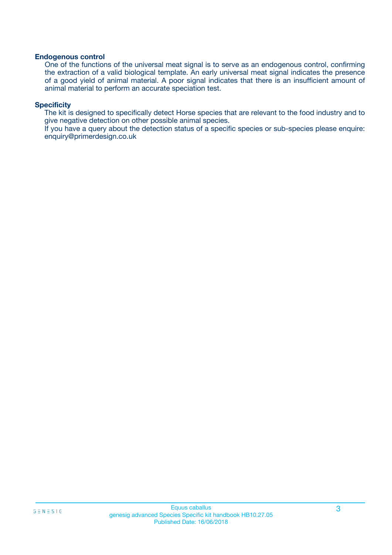#### **Endogenous control**

One of the functions of the universal meat signal is to serve as an endogenous control, confirming the extraction of a valid biological template. An early universal meat signal indicates the presence of a good yield of animal material. A poor signal indicates that there is an insufficient amount of animal material to perform an accurate speciation test.

#### **Specificity**

The kit is designed to specifically detect Horse species that are relevant to the food industry and to give negative detection on other possible animal species.

If you have a query about the detection status of a specific species or sub-species please enquire: enquiry@primerdesign.co.uk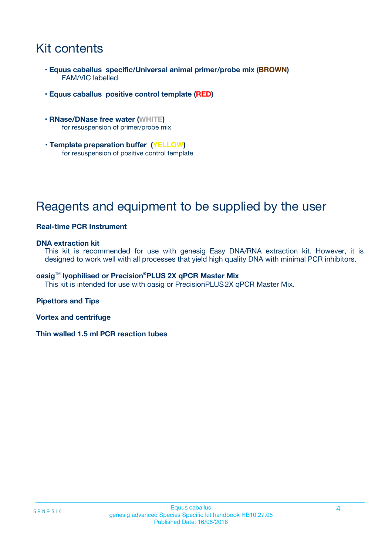## Kit contents

- **Equus caballus specific/Universal animal primer/probe mix (BROWN)** FAM/VIC labelled
- **Equus caballus positive control template (RED)**
- **RNase/DNase free water (WHITE)** for resuspension of primer/probe mix
- **Template preparation buffer (YELLOW)** for resuspension of positive control template

# Reagents and equipment to be supplied by the user

#### **Real-time PCR Instrument**

#### **DNA extraction kit**

This kit is recommended for use with genesig Easy DNA/RNA extraction kit. However, it is designed to work well with all processes that yield high quality DNA with minimal PCR inhibitors.

#### **oasig**TM **lyophilised or Precision®PLUS 2X qPCR Master Mix**

This kit is intended for use with oasig or PrecisionPLUS2X qPCR Master Mix.

#### **Pipettors and Tips**

**Vortex and centrifuge**

**Thin walled 1.5 ml PCR reaction tubes**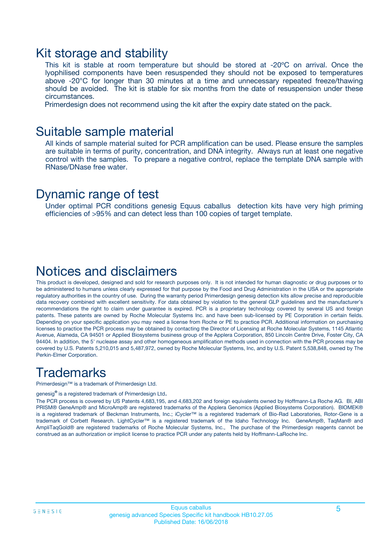### Kit storage and stability

This kit is stable at room temperature but should be stored at -20ºC on arrival. Once the lyophilised components have been resuspended they should not be exposed to temperatures above -20°C for longer than 30 minutes at a time and unnecessary repeated freeze/thawing should be avoided. The kit is stable for six months from the date of resuspension under these circumstances.

Primerdesign does not recommend using the kit after the expiry date stated on the pack.

### Suitable sample material

All kinds of sample material suited for PCR amplification can be used. Please ensure the samples are suitable in terms of purity, concentration, and DNA integrity. Always run at least one negative control with the samples. To prepare a negative control, replace the template DNA sample with RNase/DNase free water.

### Dynamic range of test

Under optimal PCR conditions genesig Equus caballus detection kits have very high priming efficiencies of >95% and can detect less than 100 copies of target template.

### Notices and disclaimers

This product is developed, designed and sold for research purposes only. It is not intended for human diagnostic or drug purposes or to be administered to humans unless clearly expressed for that purpose by the Food and Drug Administration in the USA or the appropriate regulatory authorities in the country of use. During the warranty period Primerdesign genesig detection kits allow precise and reproducible data recovery combined with excellent sensitivity. For data obtained by violation to the general GLP guidelines and the manufacturer's recommendations the right to claim under guarantee is expired. PCR is a proprietary technology covered by several US and foreign patents. These patents are owned by Roche Molecular Systems Inc. and have been sub-licensed by PE Corporation in certain fields. Depending on your specific application you may need a license from Roche or PE to practice PCR. Additional information on purchasing licenses to practice the PCR process may be obtained by contacting the Director of Licensing at Roche Molecular Systems, 1145 Atlantic Avenue, Alameda, CA 94501 or Applied Biosystems business group of the Applera Corporation, 850 Lincoln Centre Drive, Foster City, CA 94404. In addition, the 5' nuclease assay and other homogeneous amplification methods used in connection with the PCR process may be covered by U.S. Patents 5,210,015 and 5,487,972, owned by Roche Molecular Systems, Inc, and by U.S. Patent 5,538,848, owned by The Perkin-Elmer Corporation.

## **Trademarks**

Primerdesign™ is a trademark of Primerdesign Ltd.

genesig**®** is a registered trademark of Primerdesign Ltd.

The PCR process is covered by US Patents 4,683,195, and 4,683,202 and foreign equivalents owned by Hoffmann-La Roche AG. BI, ABI PRISM® GeneAmp® and MicroAmp® are registered trademarks of the Applera Genomics (Applied Biosystems Corporation). BIOMEK® is a registered trademark of Beckman Instruments, Inc.; iCycler™ is a registered trademark of Bio-Rad Laboratories, Rotor-Gene is a trademark of Corbett Research. LightCycler™ is a registered trademark of the Idaho Technology Inc. GeneAmp®, TaqMan® and AmpliTaqGold® are registered trademarks of Roche Molecular Systems, Inc., The purchase of the Primerdesign reagents cannot be construed as an authorization or implicit license to practice PCR under any patents held by Hoffmann-LaRoche Inc.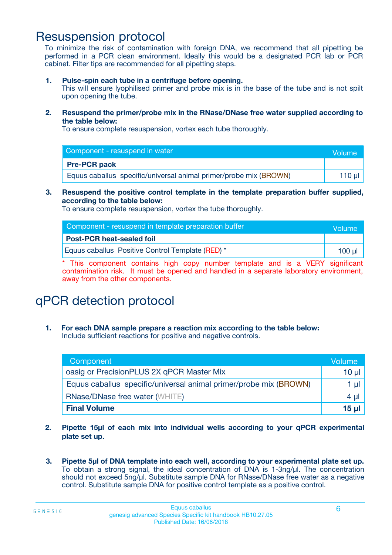### Resuspension protocol

To minimize the risk of contamination with foreign DNA, we recommend that all pipetting be performed in a PCR clean environment. Ideally this would be a designated PCR lab or PCR cabinet. Filter tips are recommended for all pipetting steps.

**1. Pulse-spin each tube in a centrifuge before opening.**

This will ensure lyophilised primer and probe mix is in the base of the tube and is not spilt upon opening the tube.

**2. Resuspend the primer/probe mix in the RNase/DNase free water supplied according to the table below:**

To ensure complete resuspension, vortex each tube thoroughly.

| Component - resuspend in water                                    |        |  |
|-------------------------------------------------------------------|--------|--|
| <b>Pre-PCR pack</b>                                               |        |  |
| Equus caballus specific/universal animal primer/probe mix (BROWN) | 110 ul |  |

#### **3. Resuspend the positive control template in the template preparation buffer supplied, according to the table below:**

To ensure complete resuspension, vortex the tube thoroughly.

| Component - resuspend in template preparation buffer | Volume |
|------------------------------------------------------|--------|
| <b>Post-PCR heat-sealed foil</b>                     |        |
| Equus caballus Positive Control Template (RED) *     | 100 ul |

\* This component contains high copy number template and is a VERY significant contamination risk. It must be opened and handled in a separate laboratory environment, away from the other components.

# qPCR detection protocol

**1. For each DNA sample prepare a reaction mix according to the table below:** Include sufficient reactions for positive and negative controls.

| Component                                                         | Volume   |
|-------------------------------------------------------------------|----------|
| oasig or PrecisionPLUS 2X qPCR Master Mix                         | $10 \mu$ |
| Equus caballus specific/universal animal primer/probe mix (BROWN) | 1 µI     |
| <b>RNase/DNase free water (WHITE)</b>                             | $4 \mu$  |
| <b>Final Volume</b>                                               | 15 ul    |

- **2. Pipette 15µl of each mix into individual wells according to your qPCR experimental plate set up.**
- **3. Pipette 5µl of DNA template into each well, according to your experimental plate set up.** To obtain a strong signal, the ideal concentration of DNA is 1-3ng/µl. The concentration should not exceed 5ng/µl. Substitute sample DNA for RNase/DNase free water as a negative control. Substitute sample DNA for positive control template as a positive control.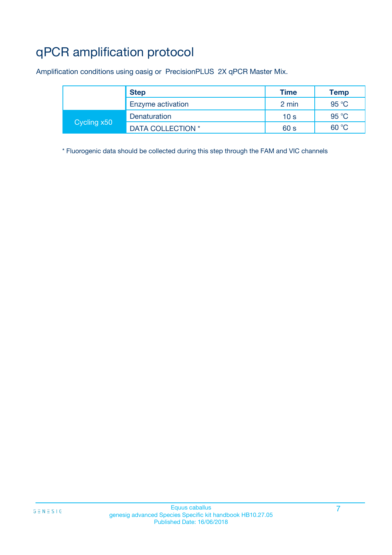# qPCR amplification protocol

Amplification conditions using oasig or PrecisionPLUS 2X qPCR Master Mix.

|             | <b>Step</b>       | Time            | Temp           |
|-------------|-------------------|-----------------|----------------|
|             | Enzyme activation | 2 min           | $95^{\circ}$ C |
| Cycling x50 | Denaturation      | 10 <sub>s</sub> | 95 °C          |
|             | DATA COLLECTION * | 60 s            | 60 °C          |

\* Fluorogenic data should be collected during this step through the FAM and VIC channels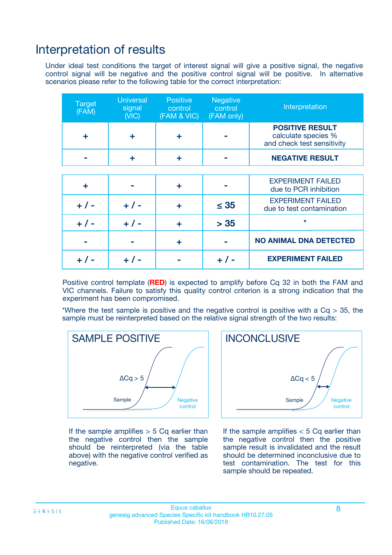### Interpretation of results

Under ideal test conditions the target of interest signal will give a positive signal, the negative control signal will be negative and the positive control signal will be positive. In alternative scenarios please refer to the following table for the correct interpretation:

| <b>Target</b><br>(FAM) | <b>Universal</b><br>signal<br>(NIC) | <b>Positive</b><br>control<br>(FAM & VIC) | <b>Negative</b><br>control<br>(FAM only) | Interpretation                                                              |
|------------------------|-------------------------------------|-------------------------------------------|------------------------------------------|-----------------------------------------------------------------------------|
| ÷                      | ÷                                   | ÷                                         |                                          | <b>POSITIVE RESULT</b><br>calculate species %<br>and check test sensitivity |
|                        |                                     | ÷                                         |                                          | <b>NEGATIVE RESULT</b>                                                      |
|                        |                                     |                                           |                                          |                                                                             |
| ÷                      |                                     | ÷                                         |                                          | <b>EXPERIMENT FAILED</b><br>due to PCR inhibition                           |
| $+$ / -                | $+ 1 -$                             | ÷                                         | $\leq 35$                                | <b>EXPERIMENT FAILED</b><br>due to test contamination                       |
| $+ 1 -$                | $+ 1 -$                             | ÷                                         | > 35                                     | $\star$                                                                     |
|                        |                                     | ÷                                         |                                          | <b>NO ANIMAL DNA DETECTED</b>                                               |
|                        |                                     |                                           | + / -                                    | <b>EXPERIMENT FAILED</b>                                                    |

Positive control template (**RED**) is expected to amplify before Cq 32 in both the FAM and VIC channels. Failure to satisfy this quality control criterion is a strong indication that the experiment has been compromised.

\*Where the test sample is positive and the negative control is positive with a  $Cq > 35$ , the sample must be reinterpreted based on the relative signal strength of the two results:



If the sample amplifies  $> 5$  Cq earlier than the negative control then the sample should be reinterpreted (via the table above) with the negative control verified as negative.



If the sample amplifies  $< 5$  Cq earlier than the negative control then the positive sample result is invalidated and the result should be determined inconclusive due to test contamination. The test for this sample should be repeated.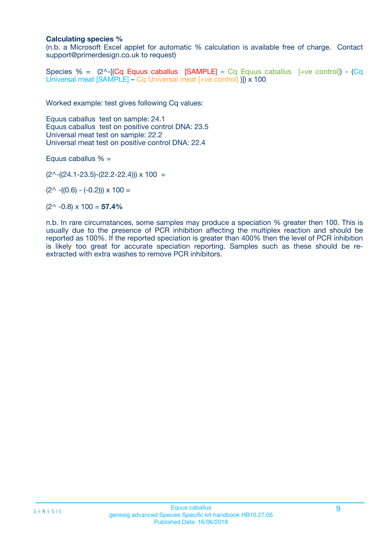#### **Calculating species %**

(n.b. a Microsoft Excel applet for automatic % calculation is available free of charge. Contact support@primerdesign.co.uk to request)

Species % =  $(2^{\wedge}$ -[**(Cq Equus caballus [SAMPLE]** – Cq Equus caballus [+ve control]) - **(Cq** Universal meat [SAMPLE] – Cq Universal meat [+ve control] )]) x 100

Worked example: test gives following Cq values:

Equus caballus test on sample: 24.1 Equus caballus test on positive control DNA: 23.5 Universal meat test on sample: 22.2 Universal meat test on positive control DNA: 22.4

Equus caballus  $% =$ 

 $(2^{\wedge}-(24.1-23.5)-(22.2-22.4))) \times 100 =$ 

 $(2^{\wedge}$  -((0.6) - (-0.2)))  $\times$  100 =

 $(2^{\wedge}$  -0.8)  $\times$  100 = **57.4%** 

n.b. In rare circumstances, some samples may produce a speciation % greater then 100. This is usually due to the presence of PCR inhibition affecting the multiplex reaction and should be reported as 100%. If the reported speciation is greater than 400% then the level of PCR inhibition is likely too great for accurate speciation reporting. Samples such as these should be reextracted with extra washes to remove PCR inhibitors.